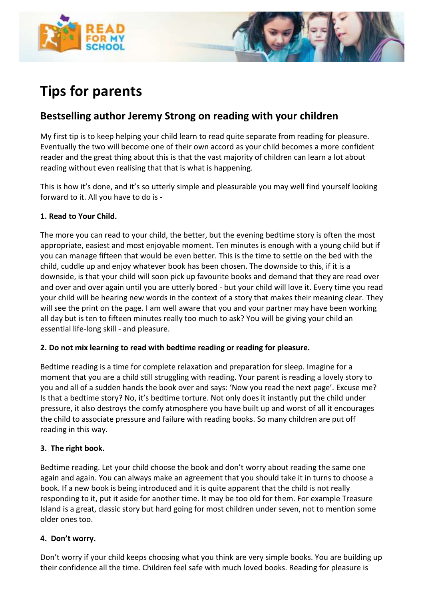



# **Tips for parents**

# **Bestselling author Jeremy Strong on reading with your children**

My first tip is to keep helping your child learn to read quite separate from reading for pleasure. Eventually the two will become one of their own accord as your child becomes a more confident reader and the great thing about this is that the vast majority of children can learn a lot about reading without even realising that that is what is happening.

This is how it's done, and it's so utterly simple and pleasurable you may well find yourself looking forward to it. All you have to do is -

#### **1. Read to Your Child.**

The more you can read to your child, the better, but the evening bedtime story is often the most appropriate, easiest and most enjoyable moment. Ten minutes is enough with a young child but if you can manage fifteen that would be even better. This is the time to settle on the bed with the child, cuddle up and enjoy whatever book has been chosen. The downside to this, if it is a downside, is that your child will soon pick up favourite books and demand that they are read over and over and over again until you are utterly bored - but your child will love it. Every time you read your child will be hearing new words in the context of a story that makes their meaning clear. They will see the print on the page. I am well aware that you and your partner may have been working all day but is ten to fifteen minutes really too much to ask? You will be giving your child an essential life-long skill - and pleasure.

#### **2. Do not mix learning to read with bedtime reading or reading for pleasure.**

Bedtime reading is a time for complete relaxation and preparation for sleep. Imagine for a moment that you are a child still struggling with reading. Your parent is reading a lovely story to you and all of a sudden hands the book over and says: 'Now you read the next page'. Excuse me? Is that a bedtime story? No, it's bedtime torture. Not only does it instantly put the child under pressure, it also destroys the comfy atmosphere you have built up and worst of all it encourages the child to associate pressure and failure with reading books. So many children are put off reading in this way.

#### **3. The right book.**

Bedtime reading. Let your child choose the book and don't worry about reading the same one again and again. You can always make an agreement that you should take it in turns to choose a book. If a new book is being introduced and it is quite apparent that the child is not really responding to it, put it aside for another time. It may be too old for them. For example Treasure Island is a great, classic story but hard going for most children under seven, not to mention some older ones too.

#### **4. Don't worry.**

Don't worry if your child keeps choosing what you think are very simple books. You are building up their confidence all the time. Children feel safe with much loved books. Reading for pleasure is